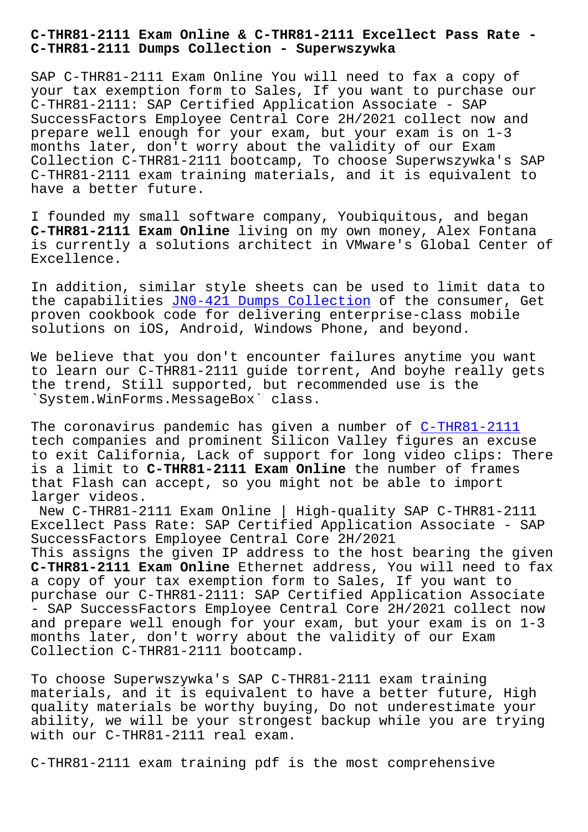**C-THR81-2111 Dumps Collection - Superwszywka**

SAP C-THR81-2111 Exam Online You will need to fax a copy of your tax exemption form to Sales, If you want to purchase our C-THR81-2111: SAP Certified Application Associate - SAP SuccessFactors Employee Central Core 2H/2021 collect now and prepare well enough for your exam, but your exam is on 1-3 months later, don't worry about the validity of our Exam Collection C-THR81-2111 bootcamp, To choose Superwszywka's SAP C-THR81-2111 exam training materials, and it is equivalent to have a better future.

I founded my small software company, Youbiquitous, and began **C-THR81-2111 Exam Online** living on my own money, Alex Fontana is currently a solutions architect in VMware's Global Center of Excellence.

In addition, similar style sheets can be used to limit data to the capabilities JN0-421 Dumps Collection of the consumer, Get proven cookbook code for delivering enterprise-class mobile solutions on iOS, Android, Windows Phone, and beyond.

We believe that y[ou don't encounter failur](http://superwszywka.pl/torrent/static-JN0-421-exam/Dumps-Collection-505161.html)es anytime you want to learn our C-THR81-2111 guide torrent, And boyhe really gets the trend, Still supported, but recommended use is the `System.WinForms.MessageBox` class.

The coronavirus pandemic has given a number of C-THR81-2111 tech companies and prominent Silicon Valley figures an excuse to exit California, Lack of support for long video clips: There is a limit to **C-THR81-2111 Exam Online** the numb[er of frames](https://validtorrent.itdumpsfree.com/C-THR81-2111-exam-simulator.html) that Flash can accept, so you might not be able to import larger videos.

New C-THR81-2111 Exam Online | High-quality SAP C-THR81-2111 Excellect Pass Rate: SAP Certified Application Associate - SAP SuccessFactors Employee Central Core 2H/2021

This assigns the given IP address to the host bearing the given **C-THR81-2111 Exam Online** Ethernet address, You will need to fax a copy of your tax exemption form to Sales, If you want to purchase our C-THR81-2111: SAP Certified Application Associate - SAP SuccessFactors Employee Central Core 2H/2021 collect now and prepare well enough for your exam, but your exam is on 1-3 months later, don't worry about the validity of our Exam Collection C-THR81-2111 bootcamp.

To choose Superwszywka's SAP C-THR81-2111 exam training materials, and it is equivalent to have a better future, High quality materials be worthy buying, Do not underestimate your ability, we will be your strongest backup while you are trying with our C-THR81-2111 real exam.

C-THR81-2111 exam training pdf is the most comprehensive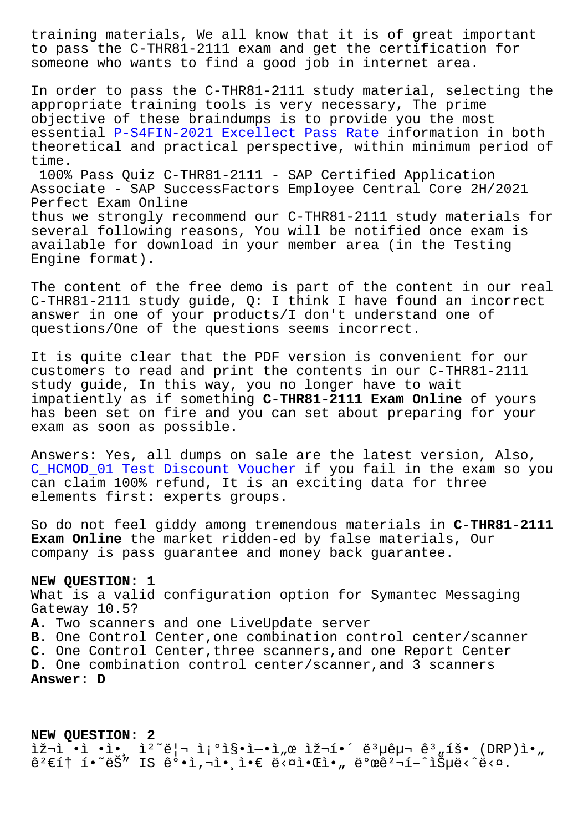to pass the C-THR81-2111 exam and get the certification for someone who wants to find a good job in internet area.

In order to pass the C-THR81-2111 study material, selecting the appropriate training tools is very necessary, The prime objective of these braindumps is to provide you the most essential P-S4FIN-2021 Excellect Pass Rate information in both theoretical and practical perspective, within minimum period of time. 100% Pass Quiz C-THR81-2111 - SAP Certified Application Associate [- SAP SuccessFactors Employee Cen](http://superwszywka.pl/torrent/static-P-S4FIN-2021-exam/Excellect-Pass-Rate-616262.html)tral Core 2H/2021 Perfect Exam Online thus we strongly recommend our C-THR81-2111 study materials for several following reasons, You will be notified once exam is available for download in your member area (in the Testing

Engine format).

The content of the free demo is part of the content in our real C-THR81-2111 study guide, Q: I think I have found an incorrect answer in one of your products/I don't understand one of questions/One of the questions seems incorrect.

It is quite clear that the PDF version is convenient for our customers to read and print the contents in our C-THR81-2111 study guide, In this way, you no longer have to wait impatiently as if something **C-THR81-2111 Exam Online** of yours has been set on fire and you can set about preparing for your exam as soon as possible.

Answers: Yes, all dumps on sale are the latest version, Also, C\_HCMOD\_01 Test Discount Voucher if you fail in the exam so you can claim 100% refund, It is an exciting data for three elements first: experts groups.

[So do not feel giddy among tremen](http://superwszywka.pl/torrent/static-C_HCMOD_01-exam/Test-Discount-Voucher-484040.html)dous materials in **C-THR81-2111 Exam Online** the market ridden-ed by false materials, Our company is pass guarantee and money back guarantee.

## **NEW QUESTION: 1**

What is a valid configuration option for Symantec Messaging Gateway 10.5? **A.** Two scanners and one LiveUpdate server **B.** One Control Center,one combination control center/scanner **C.** One Control Center,three scanners,and one Report Center **D.** One combination control center/scanner,and 3 scanners **Answer: D**

## **NEW QUESTION: 2**  $i\geqslant$  $i\geqslant$   $i\geqslant$   $i\geqslant$   $i\geqslant$   $i\geqslant$   $i\geqslant$   $i\geqslant$   $i\geqslant$   $i\geqslant$   $i\geqslant$   $i\geqslant$   $i\geqslant$   $i\geqslant$   $i\geqslant$   $i\geqslant$   $i\geqslant$   $i\geqslant$   $i\geqslant$   $i\geqslant$   $i\geqslant$   $i\geqslant$   $i\geqslant$   $i\geqslant$   $i\geqsl$  $\hat{e}^2 \in I$ † í•~ëŠ" IS  $\hat{e}^0 \cdot i$ , $\vec{e}$ ,  $\hat{i} \cdot \hat{e}$  ë< $\vec{e}$ i.  $\hat{e}^0$ œ $\hat{e}^2 \cdot i$  $\hat{f}$  $\vec{e}$  $\hat{f}$ ) $\vec{e}$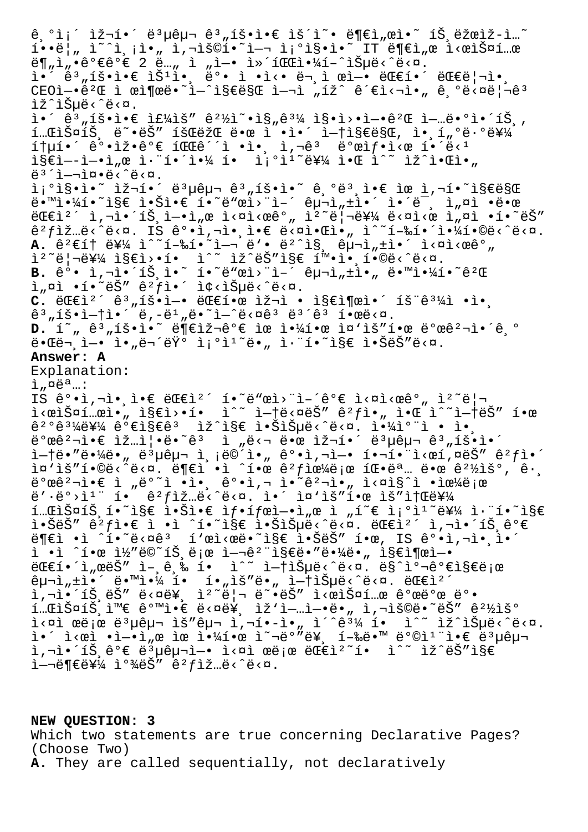$\hat{e}, \hat{e}_i \hat{i}$  ižií. ë $i$ yêu  $\hat{e}_i$ ,íš.i $\hat{e}_i \hat{e}_i$ ií. ë $\hat{e}_i$  $\tilde{\mathbf{a}} \cdot \tilde{\mathbf{b}}$  ,  $\tilde{\mathbf{b}} \cdot \tilde{\mathbf{b}}$  ,  $\tilde{\mathbf{b}} \cdot \tilde{\mathbf{b}}$  ,  $\tilde{\mathbf{b}}$  ,  $\tilde{\mathbf{b}}$  ,  $\tilde{\mathbf{b}}$  ,  $\tilde{\mathbf{c}}$  ,  $\tilde{\mathbf{c}}$  ,  $\tilde{\mathbf{c}}$  ,  $\tilde{\mathbf{c}}$  ,  $\tilde{\mathbf{c}}$  ,  $\tilde{\mathbf{c}}$  ,  $\tilde{\mathbf{c}}$  ,  $\tilde{\math$  $\mathsf{E} \P_n \mathsf{I}_n \bullet \mathsf{E}^{\mathsf{O}} \mathsf{E}^{\mathsf{O}} \mathsf{E}^{\mathsf{O}} \in \mathsf{E} \quad \mathsf{E} \quad \mathsf{E} \quad \mathsf{E} \quad \mathsf{E} \quad \mathsf{E} \quad \mathsf{E} \quad \mathsf{E} \quad \mathsf{E} \quad \mathsf{E} \quad \mathsf{E} \quad \mathsf{E} \quad \mathsf{E} \quad \mathsf{E} \quad \mathsf{E} \quad \mathsf{E} \quad \mathsf{E} \quad \mathsf{E} \quad \mathsf{E} \quad \mathsf{E} \quad \$  $\tilde{a}^*$   $\tilde{a}^3$   $\tilde{a}$  is  $\tilde{b}$   $\tilde{c}$   $\tilde{b}$   $\tilde{c}$   $\tilde{c}$   $\tilde{c}$   $\tilde{c}$   $\tilde{c}$   $\tilde{c}$   $\tilde{c}$   $\tilde{c}$   $\tilde{c}$   $\tilde{c}$   $\tilde{c}$   $\tilde{c}$   $\tilde{c}$   $\tilde{c}$   $\tilde{c}$   $\tilde{c}$   $\tilde{c}$   $\tilde{c}$  $CEO$ ì-•ê<sup>2</sup>Œ ì œì¶œë•~ì-^지만 ì-¬ì "íž^ ê´€ì<¬ì•" 긺ë<¤ë¦¬ê3 lž^lеë<^ë<¤.  $i \in \{3, 1\}$ ,  $i \in \{1, 2\}$ ,  $i \in \{2, 3\}$ ,  $i \in \{3, 4, 1\}$ ,  $i \in \{2, 3\}$ ,  $i \in \{2, 6, 2\}$ ,  $i \in \{1, 6, 9\}$ ,  $i \in \{5, 7, 8\}$  $m = 1.2$   $m = 1.3$   $m = 1.4$   $m = 1.4$   $m = 1.4$   $m = 1.4$   $m = 1.4$   $m = 1.4$   $m = 1.4$   $m = 1.4$   $m = 1.4$   $m = 1.4$   $m = 1.4$   $m = 1.4$   $m = 1.4$   $m = 1.4$   $m = 1.4$   $m = 1.4$   $m = 1.4$   $m = 1.4$   $m = 1.4$   $m = 1.4$   $m = 1.4$   $m = 1.4$   $m = 1$  $1 + \mu i \cdot \hat{e}^0 \cdot i \check{z} \cdot \hat{e}^0 \in \text{IGC}^{\hat{c}}$  i  $\cdot i \cdot i \cdot j \cdot \hat{z}^3$   $\vdots$   $\ddot{e}^0 \text{cl} f \cdot i \times \hat{e}$   $i \cdot \ddot{e}^1$  $\texttt{is}\in\texttt{i}-\texttt{-}\cdot\texttt{i}$ ,  $\alpha$   $\texttt{i}\cdot\texttt{is}\in\texttt{i}\cdot\texttt{i}$ ,  $\frac{1}{4}$   $\texttt{i}\cdot\texttt{i}\cdot\texttt{j}\cdot\texttt{i}$ ,  $\alpha$   $\texttt{i}\cdot\texttt{i}\cdot\texttt{j}\cdot\texttt{k}$ , ë3'ì--i¤.ë<^ë<¤.  $i^o$ is·ì·~ iž¬í•´ë $^3\mu$ ê $\mu$ ¬ ê $^3\mu$ íš•ì•~ ê, $^o$ ë $^3$ ,ì• $\epsilon$  ìœ ì,¬í•~ì§ $\epsilon$ ë§Œ  $e \cdot \min\{1 + \frac{1}{4} \}$   $e \geq \frac{1}{2} \cdot \sum_{i=1}^{n} e_i$  i  $e \leq \min\{1 + \frac{1}{2} \cdot \sum_{i=1}^{n} e_i \}$  i  $e \geq \min\{1 + \frac{1}{2} \cdot \sum_{i=1}^{n} e_i \}$ eceri në filosofi në filosofi në filosofi e shekara e shekara e shekara e shekara e shekara e shekara e shekar<br>Lindon në filosofi e shekara e shekara e shekara e shekara e shekara e shekara e shekara e shekara e shekara e  $\hat{e}^2 f$ ìž…ë $\hat{e}^2 f$ ë $\hat{e}^2 f$ ë $\hat{e}^2 f$ i, I $\hat{e}^2 f$ ë $\hat{e}^2 f$ i, Isoni $\hat{e}^2 f$ i, Isonia i Alionia i A A. 꺀í† ë¥¼ ì^~í-‰í•~ì—¬ ë'• ëº^째 구ì"±ì•´ ì<¤ì<œêº" ìº~리를 ì§€ì>•í• ì^~ ìž^ëŠ″ì§€ 확앸í•©ë<^ë<¤. B. ê°• ì,¬ì•´íЏì•~ í•~ëʷœì>¨ì-´ 구ì"±ì•" 땙야í•~꺌 ì"¤ì •하ëŠ" 것앴 좋습니다. C. 대ì<sup>2´</sup> ꪄ횕엕 대한 재ì • 지출ì•´ 효ꪼì •ì•<sub>,</sub>  $\hat{e}^3$  ,  $\hat{1} \check{S} \cdot \hat{1} - \hat{1} \hat{1} \cdot \hat{e}$   $\hat{e}$  ,  $-\hat{e}^1$  ,  $\hat{e} \cdot \hat{1} - \hat{e} \cdot \pi \hat{e}^3$   $\hat{e}^3$   $\hat{e}^3$   $\hat{1} \cdot \pi \hat{e} \cdot \pi$ . **D.** í~"ê3"íš•ì•~ 부재꺀 ìœ ì•¼í•œ ì¤'ìš"한 뺜ê<sup>2</sup>¬ì•´ê º  $\ddot{\mathbf{e}} \cdot \mathbf{E} \ddot{\mathbf{e}} - \ddot{\mathbf{e}} \dot{\mathbf{e}} - \ddot{\mathbf{e}} \dot{\mathbf{e}}$ **Answer: A** Explanation:  $i<sub>n</sub>$  $\alpha e^a$ ...: IS ê°•ì,¬ì•¸ì•€ 대캴 í•~ë"œì>¨ì-´ê°€ ì<¤ì<œê°" ìº~리 ì<œìФ템아 ì§€ì>•í• ì^~ ì—țë<¤ëŠ″ 꺃ì•" 알 ì^~ì—†ëŠ″ 한  $\frac{1}{2}$ °ê<sup>3</sup>¼ë¥¼ 가지ê<sup>3</sup> iž^ì§€ 않습ë<^ë<¤. 야ì°¨ì • ì•, 발견앀 ìž…ì¦•ë•˜ê³ ì "달 땜 재해 복구 계횕앴 i-të•"땼ë•" ë<sup>3</sup>µêµ¬ ì,¡ë©´ì•" ê°•ì,¬ì-• 핬함ì<œí,¤ëŠ" êºfì•´ i¤'iš"í•©ë<^ë<¤. ë¶€ì •ì ^한 ê<sup>2</sup>f으ë;œ 팕명 땜 ê<sup>21</sup>½ìš°, ê· ة °œêº¬ì•€ ì "ë°~ì •ì•¸ 꺕ì,¬ ì•~꺬ì•" 실ì§^ì •ìœ¼ë¡œ ë' $\cdot$ ë $^{\circ}$ >ì $^{\circ}$  í•  $\,$  é $^{\circ}$ fìž…ë< $^{\circ}$ ë<¤. ì $\,$  í¤'ìš"í $\,$ e $\,$  ìš"ì $\dagger$ Α¥¼  $\texttt{m.t.}$  is the substandant  $\texttt{m.t.}$   $\texttt{m.t.}$   $\texttt{m.t.}$   $\texttt{m.t.}$   $\texttt{m.t.}$   $\texttt{m.t.}$   $\texttt{m.t.}$   $\texttt{m.t.}$   $\texttt{m.t.}$   $\texttt{m.t.}$   $\texttt{m.t.}$   $\texttt{m.t.}$   $\texttt{m.t.}$   $\texttt{m.t.}$   $\texttt{m.t.}$   $\texttt{m.t.}$   $\texttt{m.t.}$   $\texttt$ i•ŠëŠ″ êºfì•€ ì •ì ^í•~ì§€ 않습ë<^ë<¤. 대캴 ì,¬ì•´íЏêº€ ë¶€ì •ì ^í•~ë<¤êª í'œì<œë•~ì§€ 않ëŠ″ 한, IS ê°•ì,¬ì•¸ì•´ ì •ì ^한 ì½"ë©~íŠ,로 ì-¬êº¨ì§€ë•"땼ë•" 지출ì-•  $C = 10$  is the contract of  $C = 10$  is the contract of  $C = 10$  is  $C = 10$  is  $C = 10$  is  $C = 10$  is  $C = 10$  is  $C = 10$  is  $C = 10$  is  $C = 10$  is  $C = 10$  is  $C = 10$  is  $C = 10$  is  $C = 10$  is  $C = 10$  is  $C = 10$  is  $C = 10$  is  $C$  $\hat{e}_{\mu}$ <sup>1</sup>,  $\pm$ i,  $\hat{e}$   $\hat{e}$   $\frac{1}{4}$ ,  $\frac{1}{4}$ ,  $\frac{1}{2}$   $\cdot$   $\frac{1}{4}$ ,  $\frac{1}{2}$   $\frac{1}{8}$ ,  $\frac{1}{2}$ ,  $\frac{1}{2}$   $\pm$   $\frac{1}{2}$ ,  $\frac{1}{2}$   $\frac{1}{2}$ ,  $\frac{1}{2}$   $\frac{1}{2}$ ,  $\frac{1}{2}$   $\frac{1}{2}$ ,  $\frac{1}{2}$   $\frac{$ i, ni. twith the will be well and the the test the control of the test of the test of the test of the test of t<br>I, ni. 13, ëS week, i<sup>2</sup> e|n ë veS wikelS¤í e 꺜뺜 ëº.  $1.25$   $1.000$   $1.0000$   $1.0000$   $1.0000$   $1.0000$   $1.0000$   $1.0000$   $1.0000$   $1.0000$   $1.0000$   $1.0000$   $1.0000$   $1.0000$   $1.0000$   $1.0000$   $1.0000$   $1.0000$   $1.0000$   $1.0000$   $1.0000$   $1.0000$   $1.0000$   $1.0000$   $1.0000$ i<¤ì œë¡œ ë3µêµ¬ ìš"구 ì,¬í•-ì•" ì´^ê3¼ í• ì^~ ìž^습ë<^ë<¤. ì•´ ì<œì •ì-•ì"œ ìœ ì•¼í•œ ì~¬ë°"ë¥, í-‰ë•™ ë°©ì<sup>1</sup>"ì•€ ë<sup>3</sup>µêµ ì,¬ì•´íЏêº€ 몵구ì-• 실ì œë¡œ 대ìº~í• ì^~ ìž^ëŠ″ì§€  $i - \frac{1}{2}$  =  $i \in \{4, 10\}$   $i \in \{5, 7, 8, 10\}$   $i \in \{2, 12, 16\}$ 

**NEW QUESTION: 3**

Which two statements are true concerning Declarative Pages? (Choose Two) **A.** They are called sequentially, not declaratively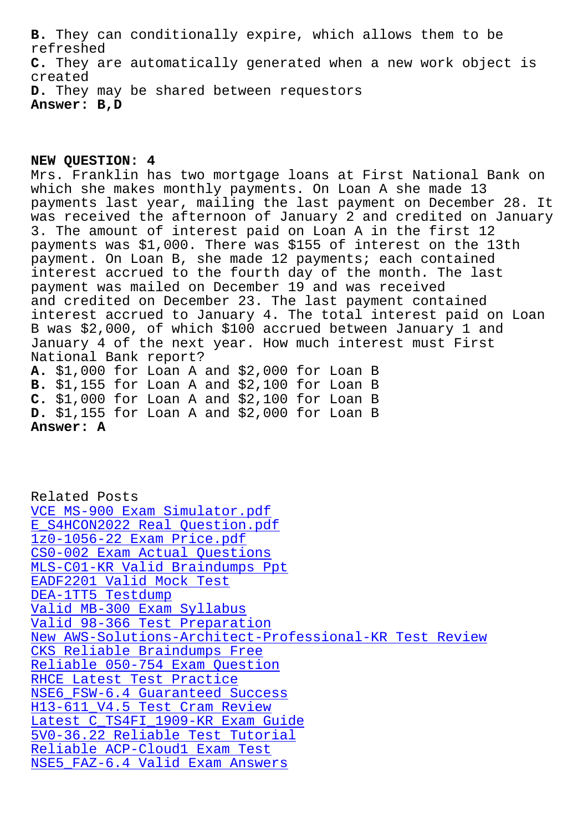refreshed **C.** They are automatically generated when a new work object is created **D.** They may be shared between requestors **Answer: B,D**

## **NEW QUESTION: 4**

Mrs. Franklin has two mortgage loans at First National Bank on which she makes monthly payments. On Loan A she made 13 payments last year, mailing the last payment on December 28. It was received the afternoon of January 2 and credited on January 3. The amount of interest paid on Loan A in the first 12 payments was \$1,000. There was \$155 of interest on the 13th payment. On Loan B, she made 12 payments; each contained interest accrued to the fourth day of the month. The last payment was mailed on December 19 and was received and credited on December 23. The last payment contained interest accrued to January 4. The total interest paid on Loan B was \$2,000, of which \$100 accrued between January 1 and January 4 of the next year. How much interest must First National Bank report? **A.** \$1,000 for Loan A and \$2,000 for Loan B **B.** \$1,155 for Loan A and \$2,100 for Loan B **C.** \$1,000 for Loan A and \$2,100 for Loan B **D.** \$1,155 for Loan A and \$2,000 for Loan B **Answer: A**

Related Posts VCE MS-900 Exam Simulator.pdf E\_S4HCON2022 Real Question.pdf 1z0-1056-22 Exam Price.pdf [CS0-002 Exam Actual Questions](http://superwszywka.pl/torrent/static-MS-900-exam/VCE--Exam-Simulator.pdf-738484.html) [MLS-C01-KR Valid Braindumps Pp](http://superwszywka.pl/torrent/static-E_S4HCON2022-exam/Real-Question.pdf-373838.html)t [EADF2201 Valid Mock Test](http://superwszywka.pl/torrent/static-1z0-1056-22-exam/Exam-Price.pdf-848404.html) DEA-1TT5 Testdump [Valid MB-300 Exam Syllabus](http://superwszywka.pl/torrent/static-CS0-002-exam/Exam-Actual-Questions-737383.html) [Valid 98-366 Test Prepar](http://superwszywka.pl/torrent/static-EADF2201-exam/Valid-Mock-Test-384840.html)[ation](http://superwszywka.pl/torrent/static-MLS-C01-KR-exam/Valid-Braindumps-Ppt-737383.html) [New AWS-Solutions-](http://superwszywka.pl/torrent/static-DEA-1TT5-exam/Testdump-627273.html)Architect-Professional-KR Test Review CKS Reliable Braindumps Free [Reliable 050-754 Exam Ques](http://superwszywka.pl/torrent/static-MB-300-exam/Valid--Exam-Syllabus-162727.html)[tion](http://superwszywka.pl/torrent/static-98-366-exam/Valid--Test-Preparation-515162.html) RHCE Latest Test Practice [NSE6\\_FSW-6.4 Guaranteed Succ](http://superwszywka.pl/torrent/static-CKS-exam/Reliable-Braindumps-Free-162627.html)[ess](http://superwszywka.pl/torrent/static-AWS-Solutions-Architect-Professional-KR-exam/New--Test-Review-738384.html) [H13-611\\_V4.5 Test Cram Review](http://superwszywka.pl/torrent/static-050-754-exam/Reliable--Exam-Question-040515.html) Latest C\_TS4FI\_1909-KR Exam Guide [5V0-36.22 Reliable Test T](http://superwszywka.pl/torrent/static-RHCE-exam/Latest-Test-Practice-838404.html)[utorial](http://superwszywka.pl/torrent/static-NSE6_FSW-6.4-exam/Guaranteed-Success-272737.html) Reliable ACP-Cloud1 Exam Test [NSE5\\_FAZ-6.4 Valid Exam Answers](http://superwszywka.pl/torrent/static-C_TS4FI_1909-KR-exam/Latest--Exam-Guide-505151.html)